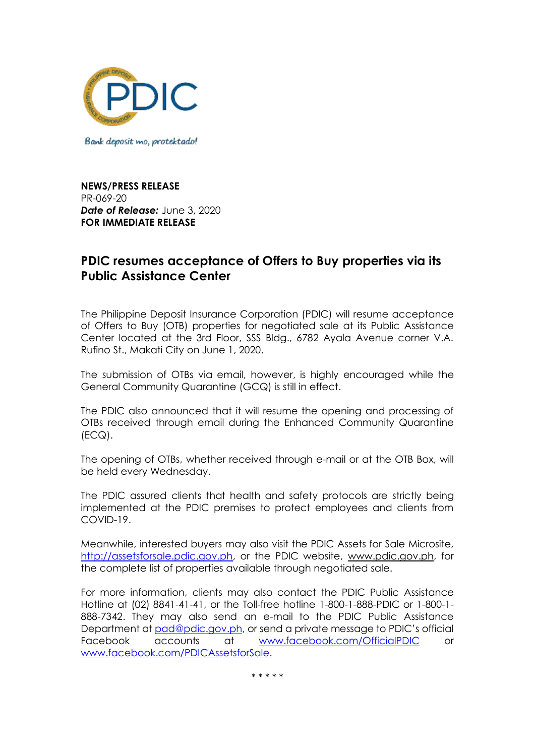

Bank deposit mo, protektado!

**NEWS/PRESS RELEASE** PR-069-20 *Date of Release:* June 3, 2020 **FOR IMMEDIATE RELEASE**

## **PDIC resumes acceptance of Offers to Buy properties via its Public Assistance Center**

The Philippine Deposit Insurance Corporation (PDIC) will resume acceptance of Offers to Buy (OTB) properties for negotiated sale at its Public Assistance Center located at the 3rd Floor, SSS Bldg., 6782 Ayala Avenue corner V.A. Rufino St., Makati City on June 1, 2020.

The submission of OTBs via email, however, is highly encouraged while the General Community Quarantine (GCQ) is still in effect.

The PDIC also announced that it will resume the opening and processing of OTBs received through email during the Enhanced Community Quarantine (ECQ).

The opening of OTBs, whether received through e-mail or at the OTB Box, will be held every Wednesday.

The PDIC assured clients that health and safety protocols are strictly being implemented at the PDIC premises to protect employees and clients from COVID-19.

Meanwhile, interested buyers may also visit the PDIC Assets for Sale Microsite, [http://assetsforsale.pdic.gov.ph,](http://assetsforsale.pdic.gov.ph/) or the PDIC website, [www.pdic.gov.ph,](http://www.pdic.gov.ph/) for the complete list of properties available through negotiated sale.

For more information, clients may also contact the PDIC Public Assistance Hotline at (02) 8841-41-41, or the Toll-free hotline 1-800-1-888-PDIC or 1-800-1- 888-7342. They may also send an e-mail to the PDIC Public Assistance Department at [pad@pdic.gov.ph](mailto:pad@pdic.gov.ph), or send a private message to PDIC's official Facebook accounts at [www.facebook.com/OfficialPDIC](http://www.facebook.com/official) or [www.facebook.com/PDICAssetsforSale.](http://www.facebook.com/pdicassetsforsale.)